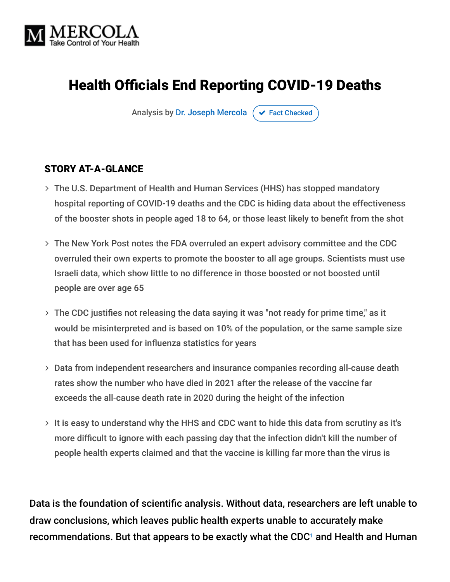

# Health Officials End Reporting COVID-19 Deaths

Analysis by [Dr. Joseph Mercola](https://www.mercola.com/forms/background.htm)  $\sigma$  [Fact Checked](javascript:void(0))

#### STORY AT-A-GLANCE

- The U.S. Department of Health and Human Services (HHS) has stopped mandatory hospital reporting of COVID-19 deaths and the CDC is hiding data about the effectiveness of the booster shots in people aged 18 to 64, or those least likely to benefit from the shot
- The New York Post notes the FDA overruled an expert advisory committee and the CDC overruled their own experts to promote the booster to all age groups. Scientists must use Israeli data, which show little to no difference in those boosted or not boosted until people are over age 65
- $>$  The CDC justifies not releasing the data saying it was "not ready for prime time," as it would be misinterpreted and is based on 10% of the population, or the same sample size that has been used for influenza statistics for years
- Data from independent researchers and insurance companies recording all-cause death rates show the number who have died in 2021 after the release of the vaccine far exceeds the all-cause death rate in 2020 during the height of the infection
- $>$  It is easy to understand why the HHS and CDC want to hide this data from scrutiny as it's more difficult to ignore with each passing day that the infection didn't kill the number of people health experts claimed and that the vaccine is killing far more than the virus is

Data is the foundation of scientific analysis. Without data, researchers are left unable to draw conclusions, which leaves public health experts unable to accurately make recommendations. But that appears to be exactly what the CDC $^{\circ}$  and Health and Human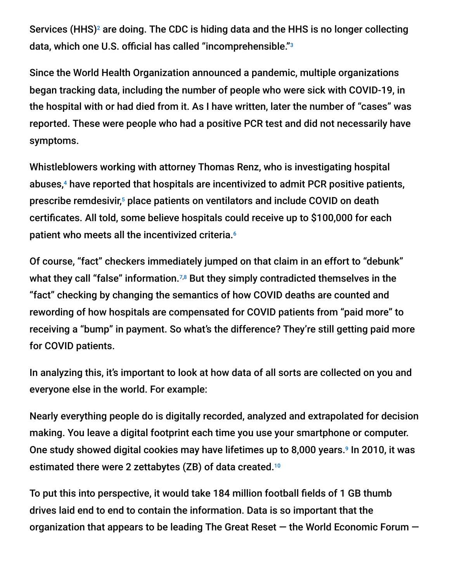Services (HHS)<sup>2</sup> are doing. The CDC is hiding data and the HHS is no longer collecting data, which one U.S. official has called "incomprehensible." 3

Since the World Health Organization announced a pandemic, multiple organizations began tracking data, including the number of people who were sick with COVID-19, in the hospital with or had died from it. As I have written, later the number of "cases" was reported. These were people who had a positive PCR test and did not necessarily have symptoms.

Whistleblowers working with attorney Thomas Renz, who is investigating hospital abuses,<sup>4</sup> have reported that hospitals are incentivized to admit PCR positive patients, prescribe remdesivir,<sup>5</sup> place patients on ventilators and include COVID on death certificates. All told, some believe hospitals could receive up to \$100,000 for each patient who meets all the incentivized criteria. 6

Of course, "fact" checkers immediately jumped on that claim in an effort to "debunk" what they call "false" information. $^{7,8}$  But they simply contradicted themselves in the "fact" checking by changing the semantics of how COVID deaths are counted and rewording of how hospitals are compensated for COVID patients from "paid more" to receiving a "bump" in payment. So what's the difference? They're still getting paid more for COVID patients.

In analyzing this, it's important to look at how data of all sorts are collected on you and everyone else in the world. For example:

Nearly everything people do is digitally recorded, analyzed and extrapolated for decision making. You leave a digital footprint each time you use your smartphone or computer. One study showed digital cookies may have lifetimes up to 8,000 years.<sup>9</sup> In 2010, it was estimated there were 2 zettabytes (ZB) of data created. $^{10}$ 

To put this into perspective, it would take 184 million football fields of 1 GB thumb drives laid end to end to contain the information. Data is so important that the organization that appears to be leading The Great Reset — the World Economic Forum —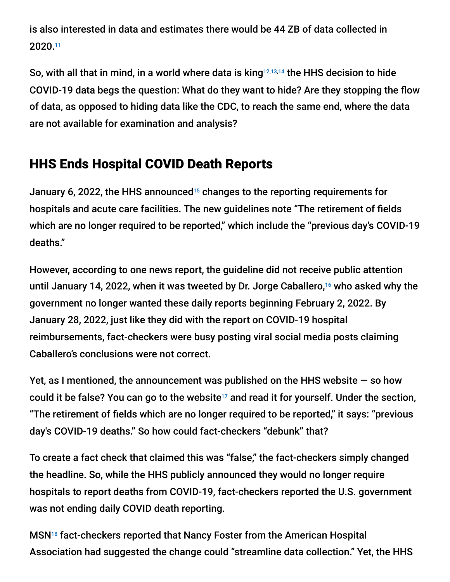is also interested in data and estimates there would be 44 ZB of data collected in 2020. 11

So, with all that in mind, in a world where data is king $^{12,13,14}$  the HHS decision to hide COVID-19 data begs the question: What do they want to hide? Are they stopping the flow of data, as opposed to hiding data like the CDC, to reach the same end, where the data are not available for examination and analysis?

## HHS Ends Hospital COVID Death Reports

January 6, 2022, the HHS announced<sup>15</sup> changes to the reporting requirements for hospitals and acute care facilities. The new guidelines note "The retirement of fields which are no longer required to be reported," which include the "previous day's COVID-19 deaths."

However, according to one news report, the guideline did not receive public attention until January 14, 2022, when it was tweeted by Dr. Jorge Caballero,<sup>16</sup> who asked why the government no longer wanted these daily reports beginning February 2, 2022. By January 28, 2022, just like they did with the report on COVID-19 hospital reimbursements, fact-checkers were busy posting viral social media posts claiming Caballero's conclusions were not correct.

Yet, as I mentioned, the announcement was published on the HHS website — so how could it be false? You can go to the website<sup>17</sup> and read it for yourself. Under the section, "The retirement of fields which are no longer required to be reported," it says: "previous day's COVID-19 deaths." So how could fact-checkers "debunk" that?

To create a fact check that claimed this was "false," the fact-checkers simply changed the headline. So, while the HHS publicly announced they would no longer require hospitals to report deaths from COVID-19, fact-checkers reported the U.S. government was not ending daily COVID death reporting.

MSN<sup>18</sup> fact-checkers reported that Nancy Foster from the American Hospital Association had suggested the change could "streamline data collection." Yet, the HHS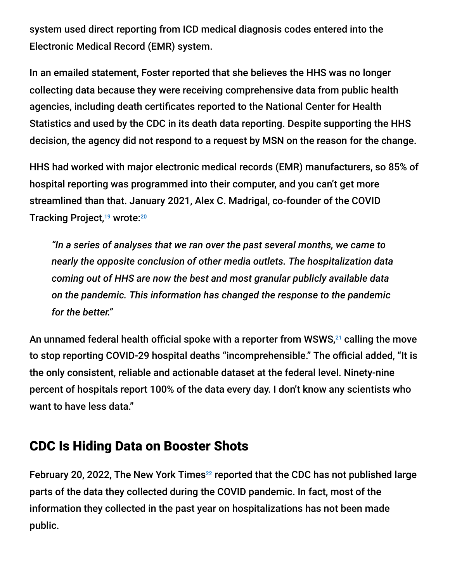system used direct reporting from ICD medical diagnosis codes entered into the Electronic Medical Record (EMR) system.

In an emailed statement, Foster reported that she believes the HHS was no longer collecting data because they were receiving comprehensive data from public health agencies, including death certificates reported to the National Center for Health Statistics and used by the CDC in its death data reporting. Despite supporting the HHS decision, the agency did not respond to a request by MSN on the reason for the change.

HHS had worked with major electronic medical records (EMR) manufacturers, so 85% of hospital reporting was programmed into their computer, and you can't get more streamlined than that. January 2021, Alex C. Madrigal, co-founder of the COVID Tracking Project,<sup>19</sup> wrote:<sup>20</sup>

*"In a series of analyses that we ran over the past several months, we came to nearly the opposite conclusion of other media outlets. The hospitalization data coming out of HHS are now the best and most granular publicly available data on the pandemic. This information has changed the response to the pandemic for the better."*

An unnamed federal health official spoke with a reporter from WSWS, $^{21}$  calling the move to stop reporting COVID-29 hospital deaths "incomprehensible." The official added, "It is the only consistent, reliable and actionable dataset at the federal level. Ninety-nine percent of hospitals report 100% of the data every day. I don't know any scientists who want to have less data."

## CDC Is Hiding Data on Booster Shots

February 20, 2022, The New York Times<sup>22</sup> reported that the CDC has not published large parts of the data they collected during the COVID pandemic. In fact, most of the information they collected in the past year on hospitalizations has not been made public.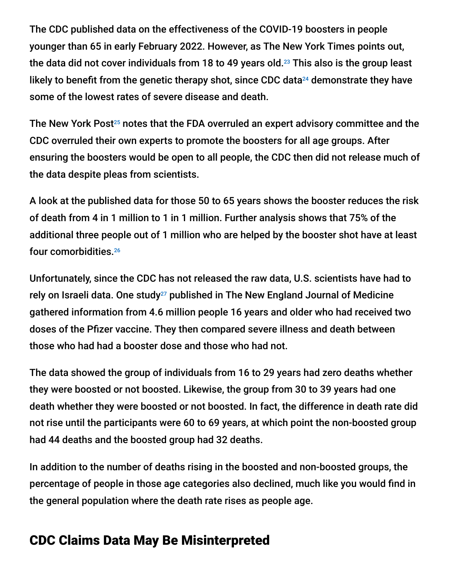The CDC published data on the effectiveness of the COVID-19 boosters in people younger than 65 in early February 2022. However, as The New York Times points out, the data did not cover individuals from 18 to 49 years old. $^{23}$  This also is the group least likely to benefit from the genetic therapy shot, since CDC data $^{24}$  demonstrate they have some of the lowest rates of severe disease and death.

The New York Post<sup>25</sup> notes that the FDA overruled an expert advisory committee and the CDC overruled their own experts to promote the boosters for all age groups. After ensuring the boosters would be open to all people, the CDC then did not release much of the data despite pleas from scientists.

A look at the published data for those 50 to 65 years shows the booster reduces the risk of death from 4 in 1 million to 1 in 1 million. Further analysis shows that 75% of the additional three people out of 1 million who are helped by the booster shot have at least four comorbidities. 26

Unfortunately, since the CDC has not released the raw data, U.S. scientists have had to rely on Israeli data. One study $^{27}$  published in The New England Journal of Medicine gathered information from 4.6 million people 16 years and older who had received two doses of the Pfizer vaccine. They then compared severe illness and death between those who had had a booster dose and those who had not.

The data showed the group of individuals from 16 to 29 years had zero deaths whether they were boosted or not boosted. Likewise, the group from 30 to 39 years had one death whether they were boosted or not boosted. In fact, the difference in death rate did not rise until the participants were 60 to 69 years, at which point the non-boosted group had 44 deaths and the boosted group had 32 deaths.

In addition to the number of deaths rising in the boosted and non-boosted groups, the percentage of people in those age categories also declined, much like you would find in the general population where the death rate rises as people age.

## CDC Claims Data May Be Misinterpreted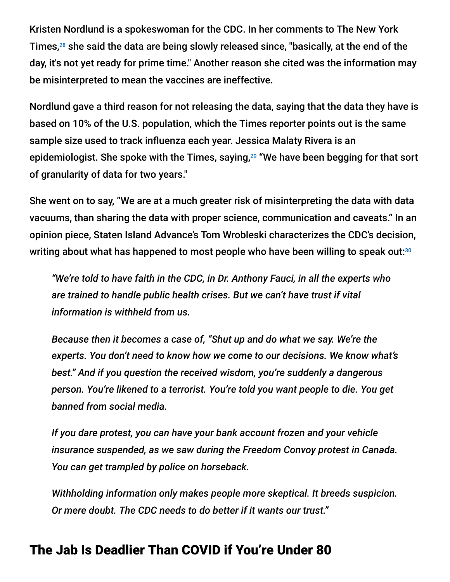Kristen Nordlund is a spokeswoman for the CDC. In her comments to The New York Times, $^{28}$  she said the data are being slowly released since, "basically, at the end of the day, it's not yet ready for prime time." Another reason she cited was the information may be misinterpreted to mean the vaccines are ineffective.

Nordlund gave a third reason for not releasing the data, saying that the data they have is based on 10% of the U.S. population, which the Times reporter points out is the same sample size used to track influenza each year. Jessica Malaty Rivera is an epidemiologist. She spoke with the Times, saying,<sup>29</sup> "We have been begging for that sort of granularity of data for two years."

She went on to say, "We are at a much greater risk of misinterpreting the data with data vacuums, than sharing the data with proper science, communication and caveats." In an opinion piece, Staten Island Advance's Tom Wrobleski characterizes the CDC's decision, writing about what has happened to most people who have been willing to speak out: 30

*"We're told to have faith in the CDC, in Dr. Anthony Fauci, in all the experts who are trained to handle public health crises. But we can't have trust if vital information is withheld from us.*

*Because then it becomes a case of, "Shut up and do what we say. We're the experts. You don't need to know how we come to our decisions. We know what's best." And if you question the received wisdom, you're suddenly a dangerous person. You're likened to a terrorist. You're told you want people to die. You get banned from social media.*

*If you dare protest, you can have your bank account frozen and your vehicle insurance suspended, as we saw during the Freedom Convoy protest in Canada. You can get trampled by police on horseback.*

*Withholding information only makes people more skeptical. It breeds suspicion. Or mere doubt. The CDC needs to do better if it wants our trust."*

#### The Jab Is Deadlier Than COVID if You're Under 80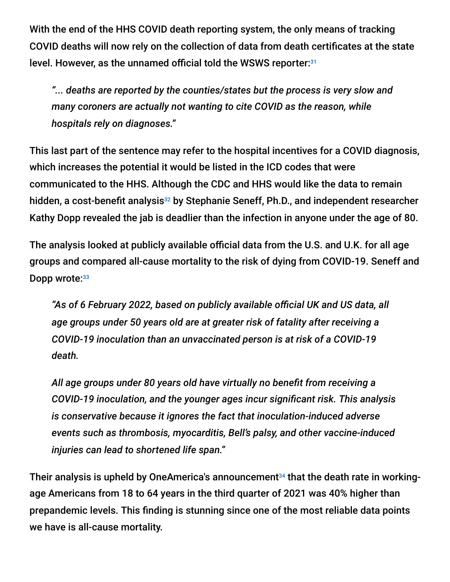With the end of the HHS COVID death reporting system, the only means of tracking COVID deaths will now rely on the collection of data from death certificates at the state level. However, as the unnamed official told the WSWS reporter: 31

*"... deaths are reported by the counties/states but the process is very slow and many coroners are actually not wanting to cite COVID as the reason, while hospitals rely on diagnoses."*

This last part of the sentence may refer to the hospital incentives for a COVID diagnosis, which increases the potential it would be listed in the ICD codes that were communicated to the HHS. Although the CDC and HHS would like the data to remain hidden, a cost-benefit analysis<sup>32</sup> by Stephanie Seneff, Ph.D., and independent researcher Kathy Dopp revealed the jab is deadlier than the infection in anyone under the age of 80.

The analysis looked at publicly available official data from the U.S. and U.K. for all age groups and compared all-cause mortality to the risk of dying from COVID-19. Seneff and Dopp wrote: 33

*"As of 6 February 2022, based on publicly available official UK and US data, all age groups under 50 years old are at greater risk of fatality after receiving a COVID-19 inoculation than an unvaccinated person is at risk of a COVID-19 death.*

*All age groups under 80 years old have virtually no benefit from receiving a COVID-19 inoculation, and the younger ages incur significant risk. This analysis is conservative because it ignores the fact that inoculation-induced adverse events such as thrombosis, myocarditis, Bell's palsy, and other vaccine-induced injuries can lead to shortened life span."*

Their analysis is upheld by OneAmerica's announcement<sup>34</sup> that the death rate in workingage Americans from 18 to 64 years in the third quarter of 2021 was 40% higher than prepandemic levels. This finding is stunning since one of the most reliable data points we have is all-cause mortality.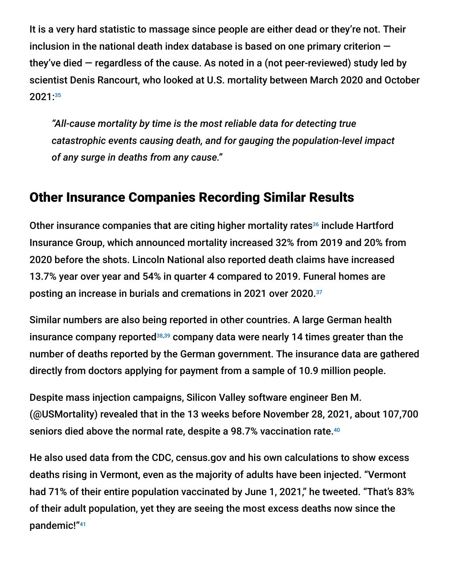It is a very hard statistic to massage since people are either dead or they're not. Their inclusion in the national death index database is based on one primary criterion they've died  $-$  regardless of the cause. As noted in a (not peer-reviewed) study led by scientist Denis Rancourt, who looked at U.S. mortality between March 2020 and October 2021: 35

*"All-cause mortality by time is the most reliable data for detecting true catastrophic events causing death, and for gauging the population-level impact of any surge in deaths from any cause."*

### Other Insurance Companies Recording Similar Results

Other insurance companies that are citing higher mortality rates<sup>36</sup> include Hartford Insurance Group, which announced mortality increased 32% from 2019 and 20% from 2020 before the shots. Lincoln National also reported death claims have increased 13.7% year over year and 54% in quarter 4 compared to 2019. Funeral homes are posting an increase in burials and cremations in 2021 over 2020. 37

Similar numbers are also being reported in other countries. A large German health insurance company reported<sup>38,39</sup> company data were nearly 14 times greater than the number of deaths reported by the German government. The insurance data are gathered directly from doctors applying for payment from a sample of 10.9 million people.

Despite mass injection campaigns, Silicon Valley software engineer Ben M. (@USMortality) revealed that in the 13 weeks before November 28, 2021, about 107,700 seniors died above the normal rate, despite a 98.7% vaccination rate. 40

He also used data from the CDC, census.gov and his own calculations to show excess deaths rising in Vermont, even as the majority of adults have been injected. "Vermont had 71% of their entire population vaccinated by June 1, 2021," he tweeted. "That's 83% of their adult population, yet they are seeing the most excess deaths now since the pandemic!" 41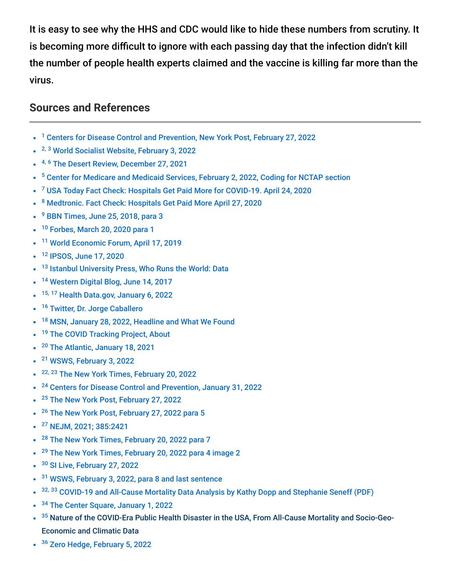It is easy to see why the HHS and CDC would like to hide these numbers from scrutiny. It is becoming more difficult to ignore with each passing day that the infection didn't kill the number of people health experts claimed and the vaccine is killing far more than the virus.

#### **Sources and References**

- <sup>1</sup> [Centers for Disease Control and Prevention, New York Post, February 27, 2022](https://nypost.com/2022/02/27/the-cdc-has-a-hidden-agenda-when-it-comes-to-covid-vaccines/)
- <sup>2, 3</sup> [World Socialist Website, February 3, 2022](https://www.wsws.org/en/articles/2022/02/03/deat-f03.html)
- <sup>4, 6</sup> [The Desert Review, December 27, 2021](https://www.thedesertreview.com/opinion/columnists/hospital-death-camps-exposed/article_97776276-674f-11ec-85d0-f33f634331c8.html)
- <sup>5</sup> [Center for Medicare and Medicaid Services, February 2, 2022, Coding for NCTAP section](https://www.cms.gov/medicare/covid-19/new-covid-19-treatments-add-payment-nctap)
- <sup>7</sup> [USA Today Fact Check: Hospitals Get Paid More for COVID-19. April 24, 2020](https://www.usatoday.com/story/news/factcheck/2020/04/24/fact-check-medicare-hospitals-paid-more-covid-19-patients-coronavirus/3000638001/)
- <sup>8</sup> [Medtronic. Fact Check: Hospitals Get Paid More April 27, 2020](https://www.healthleadersmedia.com/finance/fact-check-hospitals-get-paid-more-if-patients-listed-covid-19-ventilators)
- <sup>9</sup> [BBN Times, June 25, 2018, para 3](https://www.bbntimes.com/technology/who-runs-the-world-data)
- <sup>10</sup> [Forbes, March 20, 2020 para 1](https://www.forbes.com/sites/googlecloud/2020/05/20/how-the-world-became-data-driven-and-whats-next/?sh=2959944a57fc)
- <sup>11</sup> [World Economic Forum, April 17, 2019](https://www.weforum.org/agenda/2019/04/how-much-data-is-generated-each-day-cf4bddf29f/)
- <sup>12</sup> [IPSOS, June 17, 2020](https://www.ipsos.com/en-us/knowledge/society/The-world-runs-on-data)
- <sup>13</sup> [Istanbul University Press, Who Runs the World: Data](https://iupress.istanbul.edu.tr/tr/book/who-runs-the-world-data/home)
- <sup>14</sup> [Western Digital Blog, June 14, 2017](https://blog.westerndigital.com/powerful-ways-data-is-changing-our-world/)
- $\bullet$ <sup>15, 17</sup> [Health Data.gov, January 6, 2022](https://healthdata.gov/stories/s/COVID-19-Reporting-and-FAQS/kjst-g9cm/)
- <sup>16</sup> [Twitter, Dr. Jorge Caballero](https://twitter.com/DataDrivenMD/status/1482049687519580166)  $\bullet$
- <sup>18</sup> [MSN, January 28, 2022, Headline and What We Found](https://www.msn.com/en-us/health/medical/no-the-us-government-is-not-ending-daily-covid-death-reporting/ar-AATs9eu)  $\bullet$
- <sup>19</sup> [The COVID Tracking Project, About](https://covidtracking.com/about)
- <sup>20</sup> [The Atlantic, January 18, 2021](https://www.theatlantic.com/health/archive/2021/01/hhs-hospitalization-pandemic-data/617725/)
- <sup>21</sup> [WSWS, February 3, 2022](https://www.wsws.org/en/articles/2022/02/03/deat-f03.html)
- <sup>22, 23</sup> [The New York Times, February 20, 2022](https://www.nytimes.com/2022/02/20/health/covid-cdc-data.html)
- <sup>24</sup> [Centers for Disease Control and Prevention, January 31, 2022](https://www.cdc.gov/coronavirus/2019-ncov/covid-data/investigations-discovery/hospitalization-death-by-age.html)
- <sup>25</sup> [The New York Post, February 27, 2022](https://nypost.com/2022/02/27/the-cdc-has-a-hidden-agenda-when-it-comes-to-covid-vaccines/)
- <sup>26</sup> [The New York Post, February 27, 2022 para 5](https://nypost.com/2022/02/27/the-cdc-has-a-hidden-agenda-when-it-comes-to-covid-vaccines/)
- <sup>27</sup> [NEJM, 2021; 385:2421](https://www.nejm.org/doi/full/10.1056/NEJMoa2115926)
- <sup>28</sup> [The New York Times, February 20, 2022 para 7](https://www.nytimes.com/2022/02/20/health/covid-cdc-data.html)
- <sup>29</sup> [The New York Times, February 20, 2022 para 4 image 2](https://www.nytimes.com/2022/02/20/health/covid-cdc-data.html)
- <sup>30</sup> [SI Live, February 27, 2022](https://www.silive.com/news/2022/02/cdc-withholding-of-covid-vaccine-booster-info-makes-it-hard-to-trust-the-pandemic-experts-opinion.html)  $\bullet$
- <sup>31</sup> [WSWS, February 3, 2022, para 8 and last sentence](https://www.wsws.org/en/articles/2022/02/03/deat-f03.html)
- 32, 33 [COVID-19 and All-Cause Mortality Data Analysis by Kathy Dopp and Stephanie Seneff \(PDF\)](https://www.skirsch.com/covid/Seneff_costBenefit.pdf)
- <sup>34</sup> [The Center Square, January 1, 2022](https://www.thecentersquare.com/indiana/indiana-life-insurance-ceo-says-deaths-are-up-40-among-people-ages-18-64/article_71473b12-6b1e-11ec-8641-5b2c06725e2c.html)
- $^{35}$  [Nature of the COVID-Era Public Health Disaster in the USA, From All-Cause Mortality and Socio-Geo-](https://denisrancourt.ca/entries.php?id=107&name=2021_10_25_nature_of_the_covid_era_public_health_disaster_in_the_usa_from_all_cause_mortality_and_socio_geo_economic_and_climatic_data)Economic and Climatic Data
- <sup>36</sup> [Zero Hedge, February 5, 2022](https://www.zerohedge.com/covid-19/long-funeral-homes-short-life-insurers-ex-blackrock-fund-manager-discovers-some-disturbing)